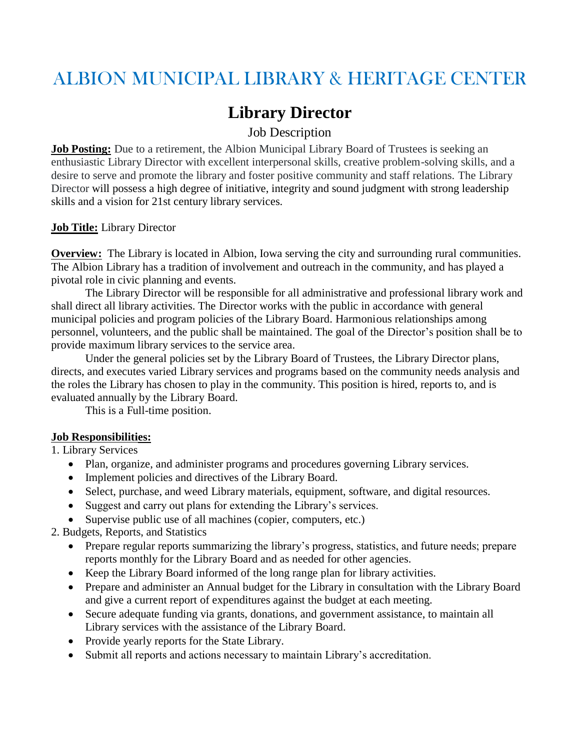# ALBION MUNICIPAL LIBRARY & HERITAGE CENTER

# **Library Director**

Job Description

**Job Posting:** Due to a retirement, the Albion Municipal Library Board of Trustees is seeking an enthusiastic Library Director with excellent interpersonal skills, creative problem-solving skills, and a desire to serve and promote the library and foster positive community and staff relations. The Library Director will possess a high degree of initiative, integrity and sound judgment with strong leadership skills and a vision for 21st century library services.

#### **Job Title:** Library Director

**Overview:** The Library is located in Albion, Iowa serving the city and surrounding rural communities. The Albion Library has a tradition of involvement and outreach in the community, and has played a pivotal role in civic planning and events.

The Library Director will be responsible for all administrative and professional library work and shall direct all library activities. The Director works with the public in accordance with general municipal policies and program policies of the Library Board. Harmonious relationships among personnel, volunteers, and the public shall be maintained. The goal of the Director's position shall be to provide maximum library services to the service area.

Under the general policies set by the Library Board of Trustees, the Library Director plans, directs, and executes varied Library services and programs based on the community needs analysis and the roles the Library has chosen to play in the community. This position is hired, reports to, and is evaluated annually by the Library Board.

This is a Full-time position.

#### **Job Responsibilities:**

1. Library Services

- Plan, organize, and administer programs and procedures governing Library services.
- Implement policies and directives of the Library Board.
- Select, purchase, and weed Library materials, equipment, software, and digital resources.
- Suggest and carry out plans for extending the Library's services.
- Supervise public use of all machines (copier, computers, etc.)

2. Budgets, Reports, and Statistics

- Prepare regular reports summarizing the library's progress, statistics, and future needs; prepare reports monthly for the Library Board and as needed for other agencies.
- Keep the Library Board informed of the long range plan for library activities.
- Prepare and administer an Annual budget for the Library in consultation with the Library Board and give a current report of expenditures against the budget at each meeting.
- Secure adequate funding via grants, donations, and government assistance, to maintain all Library services with the assistance of the Library Board.
- Provide yearly reports for the State Library.
- Submit all reports and actions necessary to maintain Library's accreditation.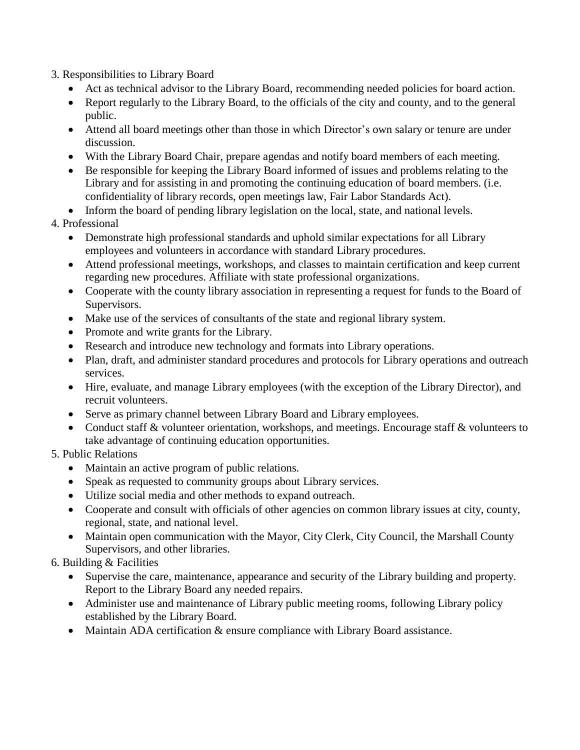3. Responsibilities to Library Board

- Act as technical advisor to the Library Board, recommending needed policies for board action.
- Report regularly to the Library Board, to the officials of the city and county, and to the general public.
- Attend all board meetings other than those in which Director's own salary or tenure are under discussion.
- With the Library Board Chair, prepare agendas and notify board members of each meeting.
- Be responsible for keeping the Library Board informed of issues and problems relating to the Library and for assisting in and promoting the continuing education of board members. (i.e. confidentiality of library records, open meetings law, Fair Labor Standards Act).
- Inform the board of pending library legislation on the local, state, and national levels.

# 4. Professional

- Demonstrate high professional standards and uphold similar expectations for all Library employees and volunteers in accordance with standard Library procedures.
- Attend professional meetings, workshops, and classes to maintain certification and keep current regarding new procedures. Affiliate with state professional organizations.
- Cooperate with the county library association in representing a request for funds to the Board of Supervisors.
- Make use of the services of consultants of the state and regional library system.
- Promote and write grants for the Library.
- Research and introduce new technology and formats into Library operations.
- Plan, draft, and administer standard procedures and protocols for Library operations and outreach services.
- Hire, evaluate, and manage Library employees (with the exception of the Library Director), and recruit volunteers.
- Serve as primary channel between Library Board and Library employees.
- Conduct staff & volunteer orientation, workshops, and meetings. Encourage staff & volunteers to take advantage of continuing education opportunities.

# 5. Public Relations

- Maintain an active program of public relations.
- Speak as requested to community groups about Library services.
- Utilize social media and other methods to expand outreach.
- Cooperate and consult with officials of other agencies on common library issues at city, county, regional, state, and national level.
- Maintain open communication with the Mayor, City Clerk, City Council, the Marshall County Supervisors, and other libraries.

# 6. Building & Facilities

- Supervise the care, maintenance, appearance and security of the Library building and property. Report to the Library Board any needed repairs.
- Administer use and maintenance of Library public meeting rooms, following Library policy established by the Library Board.
- Maintain ADA certification & ensure compliance with Library Board assistance.